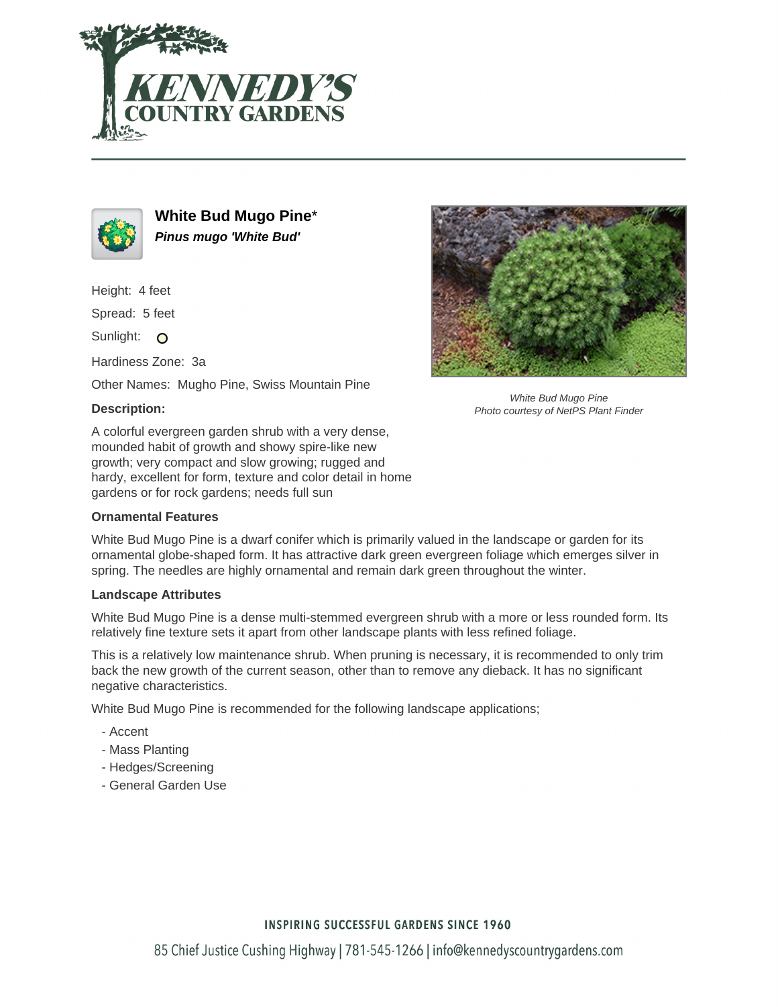



**White Bud Mugo Pine**\* **Pinus mugo 'White Bud'**

Height: 4 feet

Spread: 5 feet

Sunlight: O

Hardiness Zone: 3a

Other Names: Mugho Pine, Swiss Mountain Pine

## **Description:**

A colorful evergreen garden shrub with a very dense, mounded habit of growth and showy spire-like new growth; very compact and slow growing; rugged and hardy, excellent for form, texture and color detail in home gardens or for rock gardens; needs full sun

### **Ornamental Features**

White Bud Mugo Pine is a dwarf conifer which is primarily valued in the landscape or garden for its ornamental globe-shaped form. It has attractive dark green evergreen foliage which emerges silver in spring. The needles are highly ornamental and remain dark green throughout the winter.

#### **Landscape Attributes**

White Bud Mugo Pine is a dense multi-stemmed evergreen shrub with a more or less rounded form. Its relatively fine texture sets it apart from other landscape plants with less refined foliage.

This is a relatively low maintenance shrub. When pruning is necessary, it is recommended to only trim back the new growth of the current season, other than to remove any dieback. It has no significant negative characteristics.

White Bud Mugo Pine is recommended for the following landscape applications;

- Accent
- Mass Planting
- Hedges/Screening
- General Garden Use



White Bud Mugo Pine Photo courtesy of NetPS Plant Finder

## **INSPIRING SUCCESSFUL GARDENS SINCE 1960**